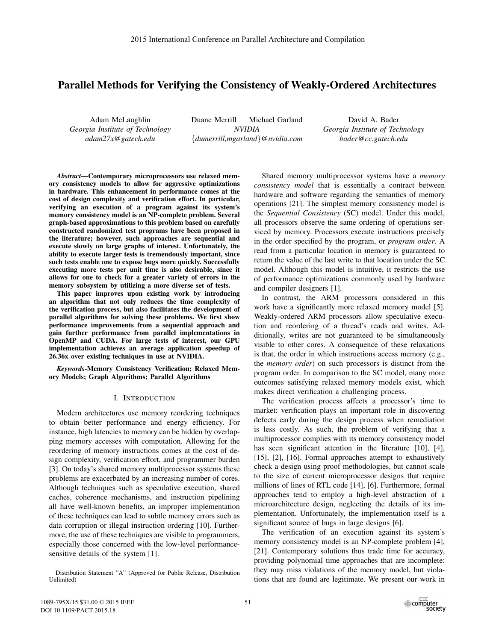# Parallel Methods for Verifying the Consistency of Weakly-Ordered Architectures

Adam McLaughlin *Georgia Institute of Technology adam27x@gatech.edu*

Duane Merrill Michael Garland *NVIDIA* {*dumerrill,mgarland*}*@nvidia.com*

David A. Bader *Georgia Institute of Technology bader@cc.gatech.edu*

*Abstract*—Contemporary microprocessors use relaxed memory consistency models to allow for aggressive optimizations in hardware. This enhancement in performance comes at the cost of design complexity and verification effort. In particular, verifying an execution of a program against its system's memory consistency model is an NP-complete problem. Several graph-based approximations to this problem based on carefully constructed randomized test programs have been proposed in the literature; however, such approaches are sequential and execute slowly on large graphs of interest. Unfortunately, the ability to execute larger tests is tremendously important, since such tests enable one to expose bugs more quickly. Successfully executing more tests per unit time is also desirable, since it allows for one to check for a greater variety of errors in the memory subsystem by utilizing a more diverse set of tests.

This paper improves upon existing work by introducing an algorithm that not only reduces the time complexity of the verification process, but also facilitates the development of parallel algorithms for solving these problems. We first show performance improvements from a sequential approach and gain further performance from parallel implementations in OpenMP and CUDA. For large tests of interest, our GPU implementation achieves an average application speedup of 26.36x over existing techniques in use at NVIDIA.

*Keywords*-Memory Consistency Verification; Relaxed Memory Models; Graph Algorithms; Parallel Algorithms

### I. INTRODUCTION

Modern architectures use memory reordering techniques to obtain better performance and energy efficiency. For instance, high latencies to memory can be hidden by overlapping memory accesses with computation. Allowing for the reordering of memory instructions comes at the cost of design complexity, verification effort, and programmer burden [3]. On today's shared memory multiprocessor systems these problems are exacerbated by an increasing number of cores. Although techniques such as speculative execution, shared caches, coherence mechanisms, and instruction pipelining all have well-known benefits, an improper implementation of these techniques can lead to subtle memory errors such as data corruption or illegal instruction ordering [10]. Furthermore, the use of these techniques are visible to programmers, especially those concerned with the low-level performancesensitive details of the system [1].

Shared memory multiprocessor systems have a *memory consistency model* that is essentially a contract between hardware and software regarding the semantics of memory operations [21]. The simplest memory consistency model is the *Sequential Consistency* (SC) model. Under this model, all processors observe the same ordering of operations serviced by memory. Processors execute instructions precisely in the order specified by the program, or *program order*. A read from a particular location in memory is guaranteed to return the value of the last write to that location under the SC model. Although this model is intuitive, it restricts the use of performance optimizations commonly used by hardware and compiler designers [1].

In contrast, the ARM processors considered in this work have a significantly more relaxed memory model [5]. Weakly-ordered ARM processors allow speculative execution and reordering of a thread's reads and writes. Additionally, writes are not guaranteed to be simultaneously visible to other cores. A consequence of these relaxations is that, the order in which instructions access memory (e.g., the *memory order*) on such processors is distinct from the program order. In comparison to the SC model, many more outcomes satisfying relaxed memory models exist, which makes direct verification a challenging process.

The verification process affects a processor's time to market: verification plays an important role in discovering defects early during the design process when remediation is less costly. As such, the problem of verifying that a multiprocessor complies with its memory consistency model has seen significant attention in the literature [10], [4], [15], [2], [16]. Formal approaches attempt to exhaustively check a design using proof methodologies, but cannot scale to the size of current microprocessor designs that require millions of lines of RTL code [14], [6]. Furthermore, formal approaches tend to employ a high-level abstraction of a microarchitecture design, neglecting the details of its implementation. Unfortunately, the implementation itself is a significant source of bugs in large designs [6].

The verification of an execution against its system's memory consistency model is an NP-complete problem [4], [21]. Contemporary solutions thus trade time for accuracy, providing polynomial time approaches that are incomplete: they may miss violations of the memory model, but violations that are found are legitimate. We present our work in

Distribution Statement "A" (Approved for Public Release, Distribution Unlimited)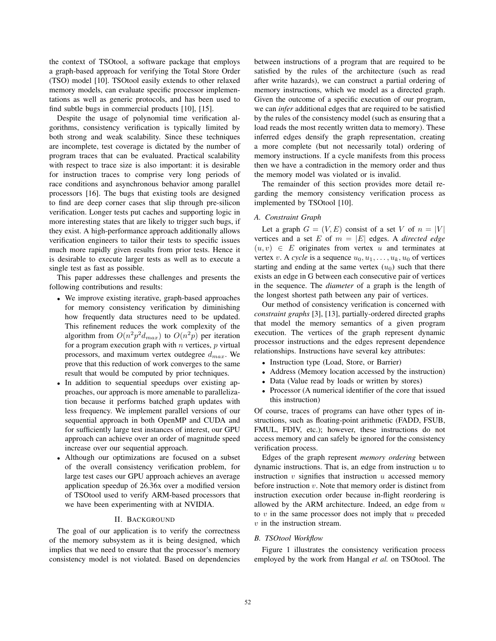the context of TSOtool, a software package that employs a graph-based approach for verifying the Total Store Order (TSO) model [10]. TSOtool easily extends to other relaxed memory models, can evaluate specific processor implementations as well as generic protocols, and has been used to find subtle bugs in commercial products [10], [15].

Despite the usage of polynomial time verification algorithms, consistency verification is typically limited by both strong and weak scalability. Since these techniques are incomplete, test coverage is dictated by the number of program traces that can be evaluated. Practical scalability with respect to trace size is also important: it is desirable for instruction traces to comprise very long periods of race conditions and asynchronous behavior among parallel processors [16]. The bugs that existing tools are designed to find are deep corner cases that slip through pre-silicon verification. Longer tests put caches and supporting logic in more interesting states that are likely to trigger such bugs, if they exist. A high-performance approach additionally allows verification engineers to tailor their tests to specific issues much more rapidly given results from prior tests. Hence it is desirable to execute larger tests as well as to execute a single test as fast as possible.

This paper addresses these challenges and presents the following contributions and results:

- We improve existing iterative, graph-based approaches for memory consistency verification by diminishing how frequently data structures need to be updated. This refinement reduces the work complexity of the algorithm from  $O(n^2p^2d_{max})$  to  $O(n^2p)$  per iteration for a program execution graph with  $n$  vertices,  $p$  virtual processors, and maximum vertex outdegree  $d_{max}$ . We prove that this reduction of work converges to the same result that would be computed by prior techniques.
- In addition to sequential speedups over existing approaches, our approach is more amenable to parallelization because it performs batched graph updates with less frequency. We implement parallel versions of our sequential approach in both OpenMP and CUDA and for sufficiently large test instances of interest, our GPU approach can achieve over an order of magnitude speed increase over our sequential approach.
- Although our optimizations are focused on a subset of the overall consistency verification problem, for large test cases our GPU approach achieves an average application speedup of 26.36x over a modified version of TSOtool used to verify ARM-based processors that we have been experimenting with at NVIDIA.

### II. BACKGROUND

The goal of our application is to verify the correctness of the memory subsystem as it is being designed, which implies that we need to ensure that the processor's memory consistency model is not violated. Based on dependencies

between instructions of a program that are required to be satisfied by the rules of the architecture (such as read after write hazards), we can construct a partial ordering of memory instructions, which we model as a directed graph. Given the outcome of a specific execution of our program, we can *infer* additional edges that are required to be satisfied by the rules of the consistency model (such as ensuring that a load reads the most recently written data to memory). These inferred edges densify the graph representation, creating a more complete (but not necessarily total) ordering of memory instructions. If a cycle manifests from this process then we have a contradiction in the memory order and thus the memory model was violated or is invalid.

The remainder of this section provides more detail regarding the memory consistency verification process as implemented by TSOtool [10].

# *A. Constraint Graph*

Let a graph  $G = (V, E)$  consist of a set V of  $n = |V|$ vertices and a set  $E$  of  $m = |E|$  edges. A *directed edge*  $(u, v) \in E$  originates from vertex u and terminates at vertex v. A *cycle* is a sequence  $u_0, u_1, \ldots, u_k, u_0$  of vertices starting and ending at the same vertex  $(u_0)$  such that there exists an edge in G between each consecutive pair of vertices in the sequence. The *diameter* of a graph is the length of the longest shortest path between any pair of vertices.

Our method of consistency verification is concerned with *constraint graphs* [3], [13], partially-ordered directed graphs that model the memory semantics of a given program execution. The vertices of the graph represent dynamic processor instructions and the edges represent dependence relationships. Instructions have several key attributes:

- Instruction type (Load, Store, or Barrier)
- Address (Memory location accessed by the instruction)
- Data (Value read by loads or written by stores)
- Processor (A numerical identifier of the core that issued this instruction)

Of course, traces of programs can have other types of instructions, such as floating-point arithmetic (FADD, FSUB, FMUL, FDIV, etc.); however, these instructions do not access memory and can safely be ignored for the consistency verification process.

Edges of the graph represent *memory ordering* between dynamic instructions. That is, an edge from instruction  $u$  to instruction  $v$  signifies that instruction  $u$  accessed memory before instruction  $v$ . Note that memory order is distinct from instruction execution order because in-flight reordering is allowed by the ARM architecture. Indeed, an edge from  $u$ to  $v$  in the same processor does not imply that  $u$  preceded  $v$  in the instruction stream.

# *B. TSOtool Workflow*

Figure 1 illustrates the consistency verification process employed by the work from Hangal *et al.* on TSOtool. The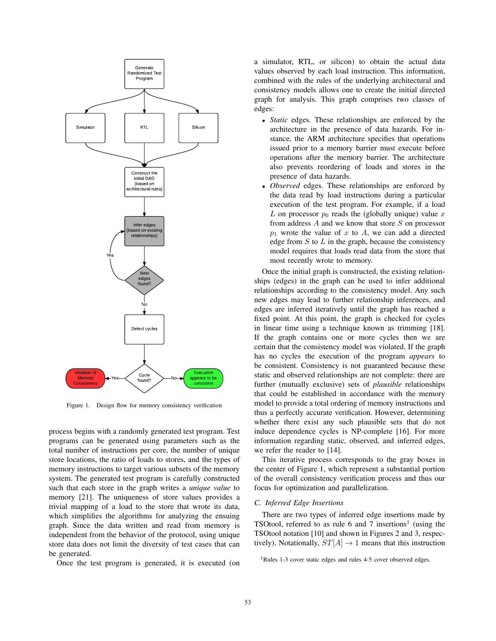

Figure 1. Design flow for memory consistency verification

process begins with a randomly generated test program. Test programs can be generated using parameters such as the total number of instructions per core, the number of unique store locations, the ratio of loads to stores, and the types of memory instructions to target various subsets of the memory system. The generated test program is carefully constructed such that each store in the graph writes a *unique value* to memory [21]. The uniqueness of store values provides a trivial mapping of a load to the store that wrote its data, which simplifies the algorithms for analyzing the ensuing graph. Since the data written and read from memory is independent from the behavior of the protocol, using unique store data does not limit the diversity of test cases that can be generated.

Once the test program is generated, it is executed (on

a simulator, RTL, or silicon) to obtain the actual data values observed by each load instruction. This information, combined with the rules of the underlying architectural and consistency models allows one to create the initial directed graph for analysis. This graph comprises two classes of edges:

- *Static* edges. These relationships are enforced by the architecture in the presence of data hazards. For instance, the ARM architecture specifies that operations issued prior to a memory barrier must execute before operations after the memory barrier. The architecture also prevents reordering of loads and stores in the presence of data hazards.
- *Observed* edges. These relationships are enforced by the data read by load instructions during a particular execution of the test program. For example, if a load L on processor  $p_0$  reads the (globally unique) value x from address A and we know that store S on processor  $p_1$  wrote the value of x to A, we can add a directed edge from  $S$  to  $L$  in the graph, because the consistency model requires that loads read data from the store that most recently wrote to memory.

Once the initial graph is constructed, the existing relationships (edges) in the graph can be used to infer additional relationships according to the consistency model. Any such new edges may lead to further relationship inferences, and edges are inferred iteratively until the graph has reached a fixed point. At this point, the graph is checked for cycles in linear time using a technique known as trimming [18]. If the graph contains one or more cycles then we are certain that the consistency model was violated. If the graph has no cycles the execution of the program *appears* to be consistent. Consistency is not guaranteed because these static and observed relationships are not complete: there are further (mutually exclusive) sets of *plausible* relationships that could be established in accordance with the memory model to provide a total ordering of memory instructions and thus a perfectly accurate verification. However, determining whether there exist any such plausible sets that do not induce dependence cycles is NP-complete [16]. For more information regarding static, observed, and inferred edges, we refer the reader to [14].

This iterative process corresponds to the gray boxes in the center of Figure 1, which represent a substantial portion of the overall consistency verification process and thus our focus for optimization and parallelization.

## *C. Inferred Edge Insertions*

There are two types of inferred edge insertions made by TSOtool, referred to as rule 6 and 7 insertions<sup>1</sup> (using the TSOtool notation [10] and shown in Figures 2 and 3, respectively). Notationally,  $ST[A] \rightarrow 1$  means that this instruction

<sup>&</sup>lt;sup>1</sup>Rules 1-3 cover static edges and rules 4-5 cover observed edges.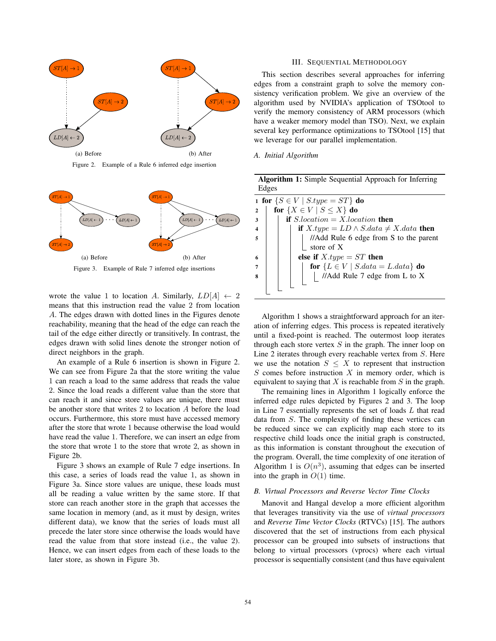

Figure 2. Example of a Rule 6 inferred edge insertion





wrote the value 1 to location A. Similarly,  $LD[A] \leftarrow 2$ means that this instruction read the value 2 from location A. The edges drawn with dotted lines in the Figures denote reachability, meaning that the head of the edge can reach the tail of the edge either directly or transitively. In contrast, the edges drawn with solid lines denote the stronger notion of direct neighbors in the graph.

An example of a Rule 6 insertion is shown in Figure 2. We can see from Figure 2a that the store writing the value 1 can reach a load to the same address that reads the value 2. Since the load reads a different value than the store that can reach it and since store values are unique, there must be another store that writes 2 to location A before the load occurs. Furthermore, this store must have accessed memory after the store that wrote 1 because otherwise the load would have read the value 1. Therefore, we can insert an edge from the store that wrote 1 to the store that wrote 2, as shown in Figure 2b.

Figure 3 shows an example of Rule 7 edge insertions. In this case, a series of loads read the value 1, as shown in Figure 3a. Since store values are unique, these loads must all be reading a value written by the same store. If that store can reach another store in the graph that accesses the same location in memory (and, as it must by design, writes different data), we know that the series of loads must all precede the later store since otherwise the loads would have read the value from that store instead (i.e., the value 2). Hence, we can insert edges from each of these loads to the later store, as shown in Figure 3b.

## III. SEQUENTIAL METHODOLOGY

This section describes several approaches for inferring edges from a constraint graph to solve the memory consistency verification problem. We give an overview of the algorithm used by NVIDIA's application of TSOtool to verify the memory consistency of ARM processors (which have a weaker memory model than TSO). Next, we explain several key performance optimizations to TSOtool [15] that we leverage for our parallel implementation.

# *A. Initial Algorithm*

| <b>Algorithm 1:</b> Simple Sequential Approach for Inferring                                    |
|-------------------------------------------------------------------------------------------------|
| Edges                                                                                           |
| 1 for $\{S \in V \mid S.\text{type} = ST\}$ do                                                  |
| for $\{X \in V \mid S \leq X\}$ do<br>$\overline{2}$                                            |
| if $S. location = X. location$ then<br>3                                                        |
| if $X.\text{type} = LD \wedge S.\text{data} \neq X.\text{data}$ then<br>$\overline{\mathbf{4}}$ |
| //Add Rule 6 edge from S to the parent<br>5                                                     |
| store of $X$                                                                                    |
| else if $X_type = ST$ then<br>6                                                                 |
| for $\{L \in V \mid S.data = L.data\}$ do                                                       |
| //Add Rule 7 edge from L to X<br>8                                                              |
|                                                                                                 |
|                                                                                                 |

Algorithm 1 shows a straightforward approach for an iteration of inferring edges. This process is repeated iteratively until a fixed-point is reached. The outermost loop iterates through each store vertex  $S$  in the graph. The inner loop on Line 2 iterates through every reachable vertex from S. Here we use the notation  $S \leq X$  to represent that instruction  $S$  comes before instruction  $X$  in memory order, which is equivalent to saying that  $X$  is reachable from  $S$  in the graph.

The remaining lines in Algorithm 1 logically enforce the inferred edge rules depicted by Figures 2 and 3. The loop in Line 7 essentially represents the set of loads L that read data from S. The complexity of finding these vertices can be reduced since we can explicitly map each store to its respective child loads once the initial graph is constructed, as this information is constant throughout the execution of the program. Overall, the time complexity of one iteration of Algorithm 1 is  $O(n^3)$ , assuming that edges can be inserted into the graph in  $O(1)$  time.

### *B. Virtual Processors and Reverse Vector Time Clocks*

Manovit and Hangal develop a more efficient algorithm that leverages transitivity via the use of *virtual processors* and *Reverse Time Vector Clocks* (RTVCs) [15]. The authors discovered that the set of instructions from each physical processor can be grouped into subsets of instructions that belong to virtual processors (vprocs) where each virtual processor is sequentially consistent (and thus have equivalent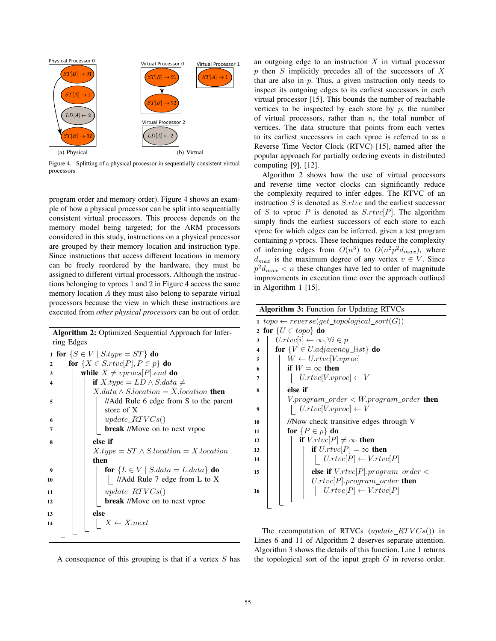

Figure 4. Splitting of a physical processor in sequentially consistent virtual processors

program order and memory order). Figure 4 shows an example of how a physical processor can be split into sequentially consistent virtual processors. This process depends on the memory model being targeted; for the ARM processors considered in this study, instructions on a physical processor are grouped by their memory location and instruction type. Since instructions that access different locations in memory can be freely reordered by the hardware, they must be assigned to different virtual processors. Although the instructions belonging to vprocs 1 and 2 in Figure 4 access the same memory location A they must also belong to separate virtual processors because the view in which these instructions are executed from *other physical processors* can be out of order.

|              | Algorithm 2: Optimized Sequential Approach for Infer-<br>ring Edges |
|--------------|---------------------------------------------------------------------|
|              | 1 for $\{S \in V \mid S.\textit{type} = ST\}$ do                    |
| $\mathbf{2}$ | for $\{X \in S.rtvc[P], P \in p\}$ do                               |
| 3            | while $X \neq vprocs[P].end$ do                                     |
| 4            |                                                                     |
|              | if $X.\text{type} = LD \wedge S.\text{data} \neq$                   |
|              | $X.data \wedge S. location = X. location$ then                      |
| 5            | //Add Rule 6 edge from S to the parent                              |
|              | store of X                                                          |
| 6            | $update\_RTVCs()$                                                   |
| 7            | <b>break</b> //Move on to next vrpoc                                |
| 8            | else if                                                             |
|              | $X_type = ST \wedge Slocation = Xlocation$                          |
|              | then                                                                |
| 9            | for $\{L \in V \mid S.data = L.data\}$ do                           |
| 10           | //Add Rule 7 edge from L to X                                       |
|              |                                                                     |
| 11           | $update\_RTVCs()$                                                   |
| 12           | break //Move on to next vproc                                       |
| 13           | else                                                                |
| 14           | $X \leftarrow X.next$                                               |
|              |                                                                     |
|              |                                                                     |

A consequence of this grouping is that if a vertex  $S$  has

an outgoing edge to an instruction  $X$  in virtual processor  $p$  then  $S$  implicitly precedes all of the successors of  $X$ that are also in  $p$ . Thus, a given instruction only needs to inspect its outgoing edges to its earliest successors in each virtual processor [15]. This bounds the number of reachable vertices to be inspected by each store by  $p$ , the number of virtual processors, rather than  $n$ , the total number of vertices. The data structure that points from each vertex to its earliest successors in each vproc is referred to as a Reverse Time Vector Clock (RTVC) [15], named after the popular approach for partially ordering events in distributed computing [9], [12].

Algorithm 2 shows how the use of virtual processors and reverse time vector clocks can significantly reduce the complexity required to infer edges. The RTVC of an instruction  $S$  is denoted as  $S$ .rtvc and the earliest successor of S to vproc P is denoted as  $S.rtvc[P]$ . The algorithm simply finds the earliest successors of each store to each vproc for which edges can be inferred, given a test program containing  $p$  vprocs. These techniques reduce the complexity of inferring edges from  $O(n^3)$  to  $O(n^2p^2d_{max})$ , where  $d_{max}$  is the maximum degree of any vertex  $v \in V$ . Since  $p^2d_{max}$  < *n* these changes have led to order of magnitude improvements in execution time over the approach outlined in Algorithm 1 [15].

| <b>Algorithm 3: Function for Updating RTVCs</b>                |  |  |  |  |
|----------------------------------------------------------------|--|--|--|--|
| $1 \;top\$ $\leftarrow reverse(get\_topological\_sort(G))$     |  |  |  |  |
| for $\{U \in topo\}$ do<br>$\overline{2}$                      |  |  |  |  |
| $U.rtvc[i] \leftarrow \infty, \forall i \in p$<br>3            |  |  |  |  |
| for ${V \in U}.adjacency\_list}$ do<br>$\overline{\mathbf{4}}$ |  |  |  |  |
| $W \leftarrow U.rtvc[V.vproc]$<br>5                            |  |  |  |  |
| if $W = \infty$ then<br>6                                      |  |  |  |  |
| $U.rtvc[V.vproc] \leftarrow V$<br>7                            |  |  |  |  |
| else if<br>8                                                   |  |  |  |  |
| $V. program\_order < W. program\_order$ then                   |  |  |  |  |
| $\mid$ U.rtvc[V.vproc] $\leftarrow$ V<br>9                     |  |  |  |  |
| //Now check transitive edges through V<br>10                   |  |  |  |  |
| for $\{P \in p\}$ do<br>11                                     |  |  |  |  |
| if $V.rtvc[P] \neq \infty$ then<br>12                          |  |  |  |  |
| if $U.rtvc[P] = \infty$ then<br>13                             |  |  |  |  |
| $\left  U.rtvc[P] \leftarrow V.rtvc[P]$<br>14                  |  |  |  |  |
| else if $V.rtvc[P].program\_order <$<br>15                     |  |  |  |  |
| $U.rtvc[P].program\_order$ then                                |  |  |  |  |
| $\left  \quad U.rtvc[P] \leftarrow V.rtvc[P]$<br>16            |  |  |  |  |
|                                                                |  |  |  |  |
|                                                                |  |  |  |  |

The recomputation of RTVCs (update  $RTVCs()$ ) in Lines 6 and 11 of Algorithm 2 deserves separate attention. Algorithm 3 shows the details of this function. Line 1 returns the topological sort of the input graph  $G$  in reverse order.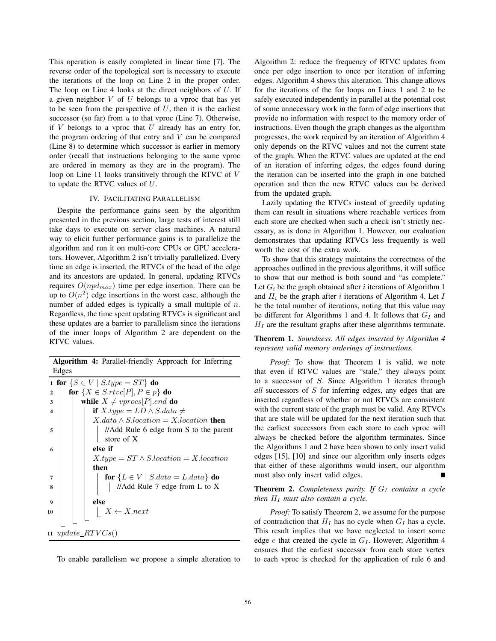This operation is easily completed in linear time [7]. The reverse order of the topological sort is necessary to execute the iterations of the loop on Line 2 in the proper order. The loop on Line 4 looks at the direct neighbors of  $U$ . If a given neighbor  $V$  of  $U$  belongs to a vproc that has yet to be seen from the perspective of  $U$ , then it is the earliest successor (so far) from  $u$  to that vproc (Line 7). Otherwise, if  $V$  belongs to a vproc that  $U$  already has an entry for, the program ordering of that entry and  $V$  can be compared (Line 8) to determine which successor is earlier in memory order (recall that instructions belonging to the same vproc are ordered in memory as they are in the program). The loop on Line 11 looks transitively through the RTVC of V to update the RTVC values of U.

### IV. FACILITATING PARALLELISM

Despite the performance gains seen by the algorithm presented in the previous section, large tests of interest still take days to execute on server class machines. A natural way to elicit further performance gains is to parallelize the algorithm and run it on multi-core CPUs or GPU accelerators. However, Algorithm 2 isn't trivially parallelized. Every time an edge is inserted, the RTVCs of the head of the edge and its ancestors are updated. In general, updating RTVCs requires  $O(npd_{max})$  time per edge insertion. There can be up to  $O(n^2)$  edge insertions in the worst case, although the number of added edges is typically a small multiple of  $n$ . Regardless, the time spent updating RTVCs is significant and these updates are a barrier to parallelism since the iterations of the inner loops of Algorithm 2 are dependent on the RTVC values.

Algorithm 4: Parallel-friendly Approach for Inferring Edges 1 for  $\{S \in V \mid S.\text{type} = ST\}$  do 2 | for  $\{X \in S.\text{rtvc}[P], P \in p\}$  do 3 while  $X \neq v \text{ } pros[P].end$  do 4 **if** X.type =  $LD \wedge S.data \neq$  $X.data \wedge S. location = X. location$  then 5 | | | | //Add Rule 6 edge from S to the parent store of X  $6$  else if  $X.type = ST \land S.location = X.location$ then 7 | | | for  ${L \in V | S.data = L.data}$  do 8 | | | | | //Add Rule 7 edge from L to X  $9$  else 10  $\vert$   $\vert$   $\vert$   $X \leftarrow X.next$ 11 update  $RTVCs()$ 

To enable parallelism we propose a simple alteration to

Algorithm 2: reduce the frequency of RTVC updates from once per edge insertion to once per iteration of inferring edges. Algorithm 4 shows this alteration. This change allows for the iterations of the for loops on Lines 1 and 2 to be safely executed independently in parallel at the potential cost of some unnecessary work in the form of edge insertions that provide no information with respect to the memory order of instructions. Even though the graph changes as the algorithm progresses, the work required by an iteration of Algorithm 4 only depends on the RTVC values and not the current state of the graph. When the RTVC values are updated at the end of an iteration of inferring edges, the edges found during the iteration can be inserted into the graph in one batched operation and then the new RTVC values can be derived from the updated graph.

Lazily updating the RTVCs instead of greedily updating them can result in situations where reachable vertices from each store are checked when such a check isn't strictly necessary, as is done in Algorithm 1. However, our evaluation demonstrates that updating RTVCs less frequently is well worth the cost of the extra work.

To show that this strategy maintains the correctness of the approaches outlined in the previous algorithms, it will suffice to show that our method is both sound and "as complete." Let  $G_i$  be the graph obtained after i iterations of Algorithm 1 and  $H_i$  be the graph after i iterations of Algorithm 4. Let I be the total number of iterations, noting that this value may be different for Algorithms 1 and 4. It follows that  $G_I$  and  $H_I$  are the resultant graphs after these algorithms terminate.

Theorem 1. *Soundness. All edges inserted by Algorithm 4 represent valid memory orderings of instructions.*

*Proof:* To show that Theorem 1 is valid, we note that even if RTVC values are "stale," they always point to a successor of S. Since Algorithm 1 iterates through *all* successors of S for inferring edges, any edges that are inserted regardless of whether or not RTVCs are consistent with the current state of the graph must be valid. Any RTVCs that are stale will be updated for the next iteration such that the earliest successors from each store to each vproc will always be checked before the algorithm terminates. Since the Algorithms 1 and 2 have been shown to only insert valid edges [15], [10] and since our algorithm only inserts edges that either of these algorithms would insert, our algorithm must also only insert valid edges.

**Theorem 2.** *Completeness parity. If*  $G_I$  *contains a cycle then*  $H_I$  *must also contain a cycle.* 

*Proof:* To satisfy Theorem 2, we assume for the purpose of contradiction that  $H_I$  has no cycle when  $G_I$  has a cycle. This result implies that we have neglected to insert some edge  $e$  that created the cycle in  $G_I$ . However, Algorithm 4 ensures that the earliest successor from each store vertex to each vproc is checked for the application of rule 6 and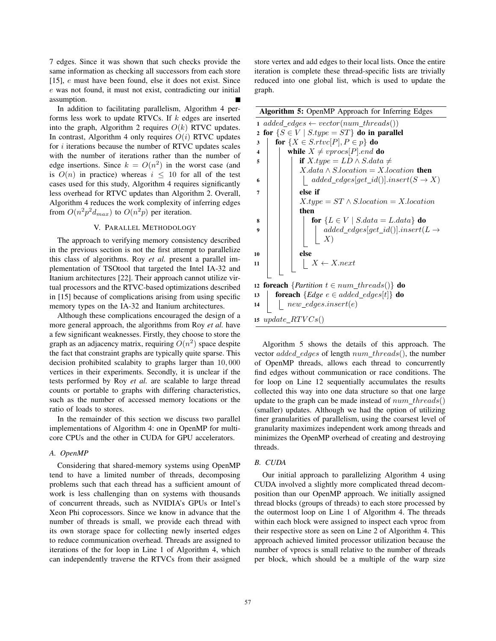7 edges. Since it was shown that such checks provide the same information as checking all successors from each store [15],  $e$  must have been found, else it does not exist. Since e was not found, it must not exist, contradicting our initial assumption.

In addition to facilitating parallelism, Algorithm 4 performs less work to update RTVCs. If  $k$  edges are inserted into the graph, Algorithm 2 requires  $O(k)$  RTVC updates. In contrast, Algorithm 4 only requires  $O(i)$  RTVC updates for  $i$  iterations because the number of RTVC updates scales with the number of iterations rather than the number of edge insertions. Since  $k = O(n^2)$  in the worst case (and is  $O(n)$  in practice) whereas  $i \leq 10$  for all of the test cases used for this study, Algorithm 4 requires significantly less overhead for RTVC updates than Algorithm 2. Overall, Algorithm 4 reduces the work complexity of inferring edges from  $O(n^2p^2d_{max})$  to  $O(n^2p)$  per iteration.

# V. PARALLEL METHODOLOGY

The approach to verifying memory consistency described in the previous section is not the first attempt to parallelize this class of algorithms. Roy *et al.* present a parallel implementation of TSOtool that targeted the Intel IA-32 and Itanium architectures [22]. Their approach cannot utilize virtual processors and the RTVC-based optimizations described in [15] because of complications arising from using specific memory types on the IA-32 and Itanium architectures.

Although these complications encouraged the design of a more general approach, the algorithms from Roy *et al.* have a few significant weaknesses. Firstly, they choose to store the graph as an adjacency matrix, requiring  $O(n^2)$  space despite the fact that constraint graphs are typically quite sparse. This decision prohibited scalabity to graphs larger than 10, 000 vertices in their experiments. Secondly, it is unclear if the tests performed by Roy *et al.* are scalable to large thread counts or portable to graphs with differing characteristics, such as the number of accessed memory locations or the ratio of loads to stores.

In the remainder of this section we discuss two parallel implementations of Algorithm 4: one in OpenMP for multicore CPUs and the other in CUDA for GPU accelerators.

# *A. OpenMP*

Considering that shared-memory systems using OpenMP tend to have a limited number of threads, decomposing problems such that each thread has a sufficient amount of work is less challenging than on systems with thousands of concurrent threads, such as NVIDIA's GPUs or Intel's Xeon Phi coprocessors. Since we know in advance that the number of threads is small, we provide each thread with its own storage space for collecting newly inserted edges to reduce communication overhead. Threads are assigned to iterations of the for loop in Line 1 of Algorithm 4, which can independently traverse the RTVCs from their assigned store vertex and add edges to their local lists. Once the entire iteration is complete these thread-specific lists are trivially reduced into one global list, which is used to update the graph.

Algorithm 5: OpenMP Approach for Inferring Edges

|                         | $1 \ added\_edges \leftarrow vector(num\_threads())$                    |
|-------------------------|-------------------------------------------------------------------------|
| $\mathbf{2}$            | for $\{S \in V \mid S.\text{type} = ST\}$ do in parallel                |
| 3                       | for $\{X \in S.rtvc[P], P \in p\}$ do                                   |
| $\overline{\mathbf{4}}$ | while $X \neq vprocs[P].end$ do                                         |
| 5                       | if $X.\text{type} = LD \wedge S.\text{data} \neq$                       |
|                         | $X.data \wedge S. location = X. location$ then                          |
| 6                       | $added\_edges[get\_id()].insert(S \rightarrow X)$                       |
| 7                       | else if                                                                 |
|                         | $X.type = ST \wedge S. location = X. location$                          |
|                         | then                                                                    |
| 8                       | for $\{L \in V \mid S.data = L.data\}$ do                               |
| 9                       | $added\_edges[get\_id()].insert(L \rightarrow$<br>$X^{\prime}$          |
|                         |                                                                         |
| 10                      | else                                                                    |
| 11                      | $X \leftarrow X.next$                                                   |
|                         |                                                                         |
|                         | 12 <b>foreach</b> { <i>Partition</i> $t \in num\_threads()$ } <b>do</b> |
| 13                      | <b>foreach</b> ${Edge \ e \in added\_edges[t]}$ <b>do</b>               |
| 14                      | $new\_edges.insert(e)$                                                  |
|                         |                                                                         |
|                         | 15 $update\_RTVCs()$                                                    |

Algorithm 5 shows the details of this approach. The vector *added\_edges* of length  $num\_threads()$ , the number of OpenMP threads, allows each thread to concurrently find edges without communication or race conditions. The for loop on Line 12 sequentially accumulates the results collected this way into one data structure so that one large update to the graph can be made instead of  $num\_threads()$ (smaller) updates. Although we had the option of utilizing finer granularities of parallelism, using the coarsest level of granularity maximizes independent work among threads and minimizes the OpenMP overhead of creating and destroying threads.

### *B. CUDA*

Our initial approach to parallelizing Algorithm 4 using CUDA involved a slightly more complicated thread decomposition than our OpenMP approach. We initially assigned thread blocks (groups of threads) to each store processed by the outermost loop on Line 1 of Algorithm 4. The threads within each block were assigned to inspect each vproc from their respective store as seen on Line 2 of Algorithm 4. This approach achieved limited processor utilization because the number of vprocs is small relative to the number of threads per block, which should be a multiple of the warp size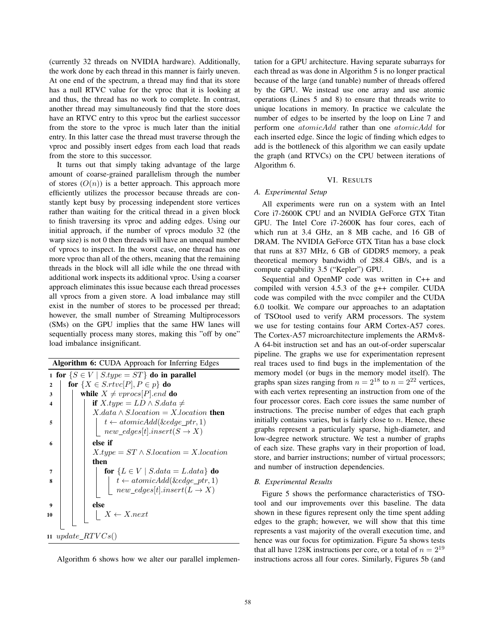(currently 32 threads on NVIDIA hardware). Additionally, the work done by each thread in this manner is fairly uneven. At one end of the spectrum, a thread may find that its store has a null RTVC value for the vproc that it is looking at and thus, the thread has no work to complete. In contrast, another thread may simultaneously find that the store does have an RTVC entry to this vproc but the earliest successor from the store to the vproc is much later than the initial entry. In this latter case the thread must traverse through the vproc and possibly insert edges from each load that reads from the store to this successor.

It turns out that simply taking advantage of the large amount of coarse-grained parallelism through the number of stores  $(O(n))$  is a better approach. This approach more efficiently utilizes the processor because threads are constantly kept busy by processing independent store vertices rather than waiting for the critical thread in a given block to finish traversing its vproc and adding edges. Using our initial approach, if the number of vprocs modulo 32 (the warp size) is not 0 then threads will have an unequal number of vprocs to inspect. In the worst case, one thread has one more vproc than all of the others, meaning that the remaining threads in the block will all idle while the one thread with additional work inspects its additional vproc. Using a coarser approach eliminates this issue because each thread processes all vprocs from a given store. A load imbalance may still exist in the number of stores to be processed per thread; however, the small number of Streaming Multiprocessors (SMs) on the GPU implies that the same HW lanes will sequentially process many stores, making this "off by one" load imbalance insignificant.

|                       | Algorithm 6: CUDA Approach for Inferring Edges                                      |  |  |  |  |  |  |
|-----------------------|-------------------------------------------------------------------------------------|--|--|--|--|--|--|
|                       | 1 for $\{S \in V \mid S.\text{type} = ST\}$ do in parallel                          |  |  |  |  |  |  |
| $\mathbf{2}$          | for $\{X \in S.rtvc[P], P \in p\}$ do                                               |  |  |  |  |  |  |
| 3                     | while $X \neq vprocs[P].end$ do                                                     |  |  |  |  |  |  |
| $\boldsymbol{\Delta}$ | if $X.\text{type} = LD \wedge S.\text{data} \neq$                                   |  |  |  |  |  |  |
|                       | $X.data \wedge S. location = X. location$ then                                      |  |  |  |  |  |  |
| 5                     | $t \leftarrow atomicAdd(\&edgeetgr\_ptr,1)$                                         |  |  |  |  |  |  |
|                       | $new\_edges[t].insert(S \rightarrow X)$                                             |  |  |  |  |  |  |
| 6                     | else if                                                                             |  |  |  |  |  |  |
|                       | $X_type = ST \wedge Slocation = Xlocation$                                          |  |  |  |  |  |  |
|                       | then                                                                                |  |  |  |  |  |  |
| 7                     | for $\{L \in V \mid S.data = L.data\}$ do                                           |  |  |  |  |  |  |
| 8                     |                                                                                     |  |  |  |  |  |  |
|                       | $t \leftarrow atomicAdd(kedge\_ptr, 1)$<br>new_edges[t].insert( $L \rightarrow X$ ) |  |  |  |  |  |  |
|                       | else                                                                                |  |  |  |  |  |  |
| 9                     |                                                                                     |  |  |  |  |  |  |
| 10                    | $X \leftarrow X.next$                                                               |  |  |  |  |  |  |
|                       |                                                                                     |  |  |  |  |  |  |
|                       | 11 update_ $RTVCs()$                                                                |  |  |  |  |  |  |

Algorithm 6 shows how we alter our parallel implemen-

tation for a GPU architecture. Having separate subarrays for each thread as was done in Algorithm 5 is no longer practical because of the large (and tunable) number of threads offered by the GPU. We instead use one array and use atomic operations (Lines 5 and 8) to ensure that threads write to unique locations in memory. In practice we calculate the number of edges to be inserted by the loop on Line 7 and perform one *atomicAdd* rather than one *atomicAdd* for each inserted edge. Since the logic of finding which edges to add is the bottleneck of this algorithm we can easily update the graph (and RTVCs) on the CPU between iterations of Algorithm 6.

# VI. RESULTS

# *A. Experimental Setup*

All experiments were run on a system with an Intel Core i7-2600K CPU and an NVIDIA GeForce GTX Titan GPU. The Intel Core i7-2600K has four cores, each of which run at 3.4 GHz, an 8 MB cache, and 16 GB of DRAM. The NVIDIA GeForce GTX Titan has a base clock that runs at 837 MHz, 6 GB of GDDR5 memory, a peak theoretical memory bandwidth of 288.4 GB/s, and is a compute capability 3.5 ("Kepler") GPU.

Sequential and OpenMP code was written in C++ and compiled with version 4.5.3 of the g++ compiler. CUDA code was compiled with the nvcc compiler and the CUDA 6.0 toolkit. We compare our approaches to an adaptation of TSOtool used to verify ARM processors. The system we use for testing contains four ARM Cortex-A57 cores. The Cortex-A57 microarchitecture implements the ARMv8- A 64-bit instruction set and has an out-of-order superscalar pipeline. The graphs we use for experimentation represent real traces used to find bugs in the implementation of the memory model (or bugs in the memory model itself). The graphs span sizes ranging from  $n = 2^{18}$  to  $n = 2^{22}$  vertices, with each vertex representing an instruction from one of the four processor cores. Each core issues the same number of instructions. The precise number of edges that each graph initially contains varies, but is fairly close to  $n$ . Hence, these graphs represent a particularly sparse, high-diameter, and low-degree network structure. We test a number of graphs of each size. These graphs vary in their proportion of load, store, and barrier instructions; number of virtual processors; and number of instruction dependencies.

#### *B. Experimental Results*

Figure 5 shows the performance characteristics of TSOtool and our improvements over this baseline. The data shown in these figures represent only the time spent adding edges to the graph; however, we will show that this time represents a vast majority of the overall execution time, and hence was our focus for optimization. Figure 5a shows tests that all have 128K instructions per core, or a total of  $n = 2^{19}$ instructions across all four cores. Similarly, Figures 5b (and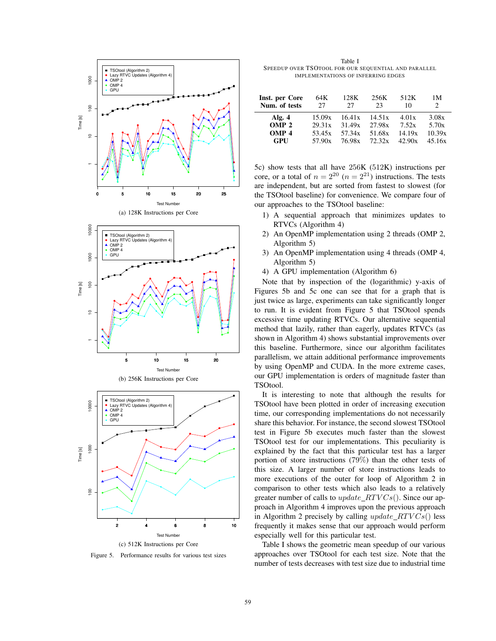

Figure 5. Performance results for various test sizes

Table I SPEEDUP OVER TSOTOOL FOR OUR SEQUENTIAL AND PARALLEL IMPLEMENTATIONS OF INFERRING EDGES

| Inst. per Core   | 64K    | 128K   | 256K   | 512K   | 1 M            |
|------------------|--------|--------|--------|--------|----------------|
| Num. of tests    | 27     | 27     | 23     | 10     | $\mathfrak{D}$ |
| Alg. $4$         | 15.09x | 16.41x | 14.51x | 4.01x  | 3.08x          |
| OMP <sub>2</sub> | 29.31x | 31.49x | 27.98x | 7.52x  | 5.70x          |
| OMP <sub>4</sub> | 53.45x | 57.34x | 51.68x | 14.19x | 10.39x         |
| GPU              | 57.90x | 76.98x | 72.32x | 42.90x | 45.16x         |

5c) show tests that all have 256K (512K) instructions per core, or a total of  $n = 2^{20}$   $(n = 2^{21})$  instructions. The tests are independent, but are sorted from fastest to slowest (for the TSOtool baseline) for convenience. We compare four of our approaches to the TSOtool baseline:

- 1) A sequential approach that minimizes updates to RTVCs (Algorithm 4)
- 2) An OpenMP implementation using 2 threads (OMP 2, Algorithm 5)
- 3) An OpenMP implementation using 4 threads (OMP 4, Algorithm 5)
- 4) A GPU implementation (Algorithm 6)

Note that by inspection of the (logarithmic) y-axis of Figures 5b and 5c one can see that for a graph that is just twice as large, experiments can take significantly longer to run. It is evident from Figure 5 that TSOtool spends excessive time updating RTVCs. Our alternative sequential method that lazily, rather than eagerly, updates RTVCs (as shown in Algorithm 4) shows substantial improvements over this baseline. Furthermore, since our algorithm facilitates parallelism, we attain additional performance improvements by using OpenMP and CUDA. In the more extreme cases, our GPU implementation is orders of magnitude faster than TSOtool.

It is interesting to note that although the results for TSOtool have been plotted in order of increasing execution time, our corresponding implementations do not necessarily share this behavior. For instance, the second slowest TSOtool test in Figure 5b executes much faster than the slowest TSOtool test for our implementations. This peculiarity is explained by the fact that this particular test has a larger portion of store instructions (79%) than the other tests of this size. A larger number of store instructions leads to more executions of the outer for loop of Algorithm 2 in comparison to other tests which also leads to a relatively greater number of calls to  $update\_RTVCs()$ . Since our approach in Algorithm 4 improves upon the previous approach in Algorithm 2 precisely by calling  $update\_RTVCs()$  less frequently it makes sense that our approach would perform especially well for this particular test.

Table I shows the geometric mean speedup of our various approaches over TSOtool for each test size. Note that the number of tests decreases with test size due to industrial time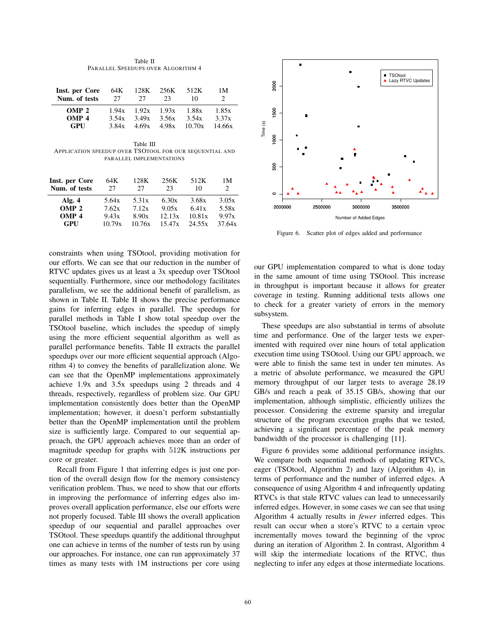Table II PARALLEL SPEEDUPS OVER ALGORITHM 4

| Inst. per Core<br>Num. of tests | 64K<br>27 | 128K<br>27 | 256K<br>23      | 512K<br>10 | 1 M    |
|---------------------------------|-----------|------------|-----------------|------------|--------|
| OMP <sub>2</sub>                | 1.94x     |            | $1.92x$ $1.93x$ | 1.88x      | 1.85x  |
| OMP <sub>4</sub>                | 3.54 $x$  | 3.49x      | 3.56x           | 3.54x      | 3.37x  |
| GPU                             | 3.84x     |            | $4.69x + 4.98x$ | 10.70x     | 14.66x |

Table III APPLICATION SPEEDUP OVER TSOTOOL FOR OUR SEQUENTIAL AND PARALLEL IMPLEMENTATIONS

| Inst. per Core   | 64K    | 128K     | 256K   | 512K   | 1 M            |
|------------------|--------|----------|--------|--------|----------------|
| Num. of tests    | 27     | 27       | 23     | 10     | $\mathfrak{D}$ |
| Alg. $4$         | 5.64x  | 5.31 $x$ | 6.30x  | 3.68x  | 3.05x          |
| OMP <sub>2</sub> | 7.62x  | 7.12x    | 9.05x  | 6.41x  | 5.58x          |
| OMP <sub>4</sub> | 9.43x  | 8.90x    | 12.13x | 10.81x | 9.97x          |
| GPU              | 10.79x | 10.76x   | 15.47x | 24.55x | 37.64x         |

constraints when using TSOtool, providing motivation for our efforts. We can see that our reduction in the number of RTVC updates gives us at least a 3x speedup over TSOtool sequentially. Furthermore, since our methodology facilitates parallelism, we see the additional benefit of parallelism, as shown in Table II. Table II shows the precise performance gains for inferring edges in parallel. The speedups for parallel methods in Table I show total speedup over the TSOtool baseline, which includes the speedup of simply using the more efficient sequential algorithm as well as parallel performance benefits. Table II extracts the parallel speedups over our more efficient sequential approach (Algorithm 4) to convey the benefits of parallelization alone. We can see that the OpenMP implementations approximately achieve 1.9x and 3.5x speedups using 2 threads and 4 threads, respectively, regardless of problem size. Our GPU implementation consistently does better than the OpenMP implementation; however, it doesn't perform substantially better than the OpenMP implementation until the problem size is sufficiently large. Compared to our sequential approach, the GPU approach achieves more than an order of magnitude speedup for graphs with 512K instructions per core or greater.

Recall from Figure 1 that inferring edges is just one portion of the overall design flow for the memory consistency verification problem. Thus, we need to show that our efforts in improving the performance of inferring edges also improves overall application performance, else our efforts were not properly focused. Table III shows the overall application speedup of our sequential and parallel approaches over TSOtool. These speedups quantify the additional throughput one can achieve in terms of the number of tests run by using our approaches. For instance, one can run approximately 37 times as many tests with 1M instructions per core using



Figure 6. Scatter plot of edges added and performance

our GPU implementation compared to what is done today in the same amount of time using TSOtool. This increase in throughput is important because it allows for greater coverage in testing. Running additional tests allows one to check for a greater variety of errors in the memory subsystem.

These speedups are also substantial in terms of absolute time and performance. One of the larger tests we experimented with required over nine hours of total application execution time using TSOtool. Using our GPU approach, we were able to finish the same test in under ten minutes. As a metric of absolute performance, we measured the GPU memory throughput of our larger tests to average 28.19 GB/s and reach a peak of 35.15 GB/s, showing that our implementation, although simplistic, efficiently utilizes the processor. Considering the extreme sparsity and irregular structure of the program execution graphs that we tested, achieving a significant percentage of the peak memory bandwidth of the processor is challenging [11].

Figure 6 provides some additional performance insights. We compare both sequential methods of updating RTVCs, eager (TSOtool, Algorithm 2) and lazy (Algorithm 4), in terms of performance and the number of inferred edges. A consequence of using Algorithm 4 and infrequently updating RTVCs is that stale RTVC values can lead to unnecessarily inferred edges. However, in some cases we can see that using Algorithm 4 actually results in *fewer* inferred edges. This result can occur when a store's RTVC to a certain vproc incrementally moves toward the beginning of the vproc during an iteration of Algorithm 2. In contrast, Algorithm 4 will skip the intermediate locations of the RTVC, thus neglecting to infer any edges at those intermediate locations.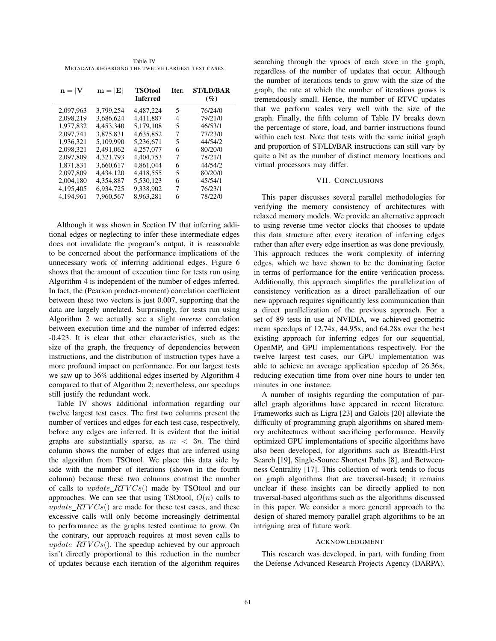Table IV METADATA REGARDING THE TWELVE LARGEST TEST CASES

| $n =  V $ | $\mathbf{m} =  \mathbf{E} $ | <b>TSOtool</b><br><b>Inferred</b> | Iter. | ST/LD/BAR<br>$(\%)$ |
|-----------|-----------------------------|-----------------------------------|-------|---------------------|
| 2.097.963 | 3.799.254                   | 4.487.224                         | 5     | 76/24/0             |
| 2,098,219 | 3.686.624                   | 4.411.887                         | 4     | 79/21/0             |
| 1.977.832 | 4.453.340                   | 5.179,108                         | 5     | 46/53/1             |
| 2.097.741 | 3.875.831                   | 4.635.852                         | 7     | 77/23/0             |
| 1.936.321 | 5.109.990                   | 5.236.671                         | 5     | 44/54/2             |
| 2.098.321 | 2.491,062                   | 4.257,077                         | 6     | 80/20/0             |
| 2.097.809 | 4.321.793                   | 4.404.753                         | 7     | 78/21/1             |
| 1.871.831 | 3.660.617                   | 4.861.044                         | 6     | 44/54/2             |
| 2.097.809 | 4.434.120                   | 4.418.555                         | 5     | 80/20/0             |
| 2.004.180 | 4.354.887                   | 5.530.123                         | 6     | 45/54/1             |
| 4.195.405 | 6.934.725                   | 9.338.902                         | 7     | 76/23/1             |
| 4.194.961 | 7.960.567                   | 8.963.281                         | 6     | 78/22/0             |

Although it was shown in Section IV that inferring additional edges or neglecting to infer these intermediate edges does not invalidate the program's output, it is reasonable to be concerned about the performance implications of the unnecessary work of inferring additional edges. Figure 6 shows that the amount of execution time for tests run using Algorithm 4 is independent of the number of edges inferred. In fact, the (Pearson product-moment) correlation coefficient between these two vectors is just 0.007, supporting that the data are largely unrelated. Surprisingly, for tests run using Algorithm 2 we actually see a slight *inverse* correlation between execution time and the number of inferred edges: -0.423. It is clear that other characteristics, such as the size of the graph, the frequency of dependencies between instructions, and the distribution of instruction types have a more profound impact on performance. For our largest tests we saw up to 36% additional edges inserted by Algorithm 4 compared to that of Algorithm 2; nevertheless, our speedups still justify the redundant work.

Table IV shows additional information regarding our twelve largest test cases. The first two columns present the number of vertices and edges for each test case, respectively, before any edges are inferred. It is evident that the initial graphs are substantially sparse, as  $m < 3n$ . The third column shows the number of edges that are inferred using the algorithm from TSOtool. We place this data side by side with the number of iterations (shown in the fourth column) because these two columns contrast the number of calls to  $update\_RTVCs()$  made by TSOtool and our approaches. We can see that using TSOtool,  $O(n)$  calls to  $update\_RTVCs()$  are made for these test cases, and these excessive calls will only become increasingly detrimental to performance as the graphs tested continue to grow. On the contrary, our approach requires at most seven calls to update  $RTVCs()$ . The speedup achieved by our approach isn't directly proportional to this reduction in the number of updates because each iteration of the algorithm requires

searching through the vprocs of each store in the graph, regardless of the number of updates that occur. Although the number of iterations tends to grow with the size of the graph, the rate at which the number of iterations grows is tremendously small. Hence, the number of RTVC updates that we perform scales very well with the size of the graph. Finally, the fifth column of Table IV breaks down the percentage of store, load, and barrier instructions found within each test. Note that tests with the same initial graph and proportion of ST/LD/BAR instructions can still vary by quite a bit as the number of distinct memory locations and virtual processors may differ.

### VII. CONCLUSIONS

This paper discusses several parallel methodologies for verifying the memory consistency of architectures with relaxed memory models. We provide an alternative approach to using reverse time vector clocks that chooses to update this data structure after every iteration of inferring edges rather than after every edge insertion as was done previously. This approach reduces the work complexity of inferring edges, which we have shown to be the dominating factor in terms of performance for the entire verification process. Additionally, this approach simplifies the parallelization of consistency verification as a direct parallelization of our new approach requires significantly less communication than a direct parallelization of the previous approach. For a set of 89 tests in use at NVIDIA, we achieved geometric mean speedups of 12.74x, 44.95x, and 64.28x over the best existing approach for inferring edges for our sequential, OpenMP, and GPU implementations respectively. For the twelve largest test cases, our GPU implementation was able to achieve an average application speedup of 26.36x, reducing execution time from over nine hours to under ten minutes in one instance.

A number of insights regarding the computation of parallel graph algorithms have appeared in recent literature. Frameworks such as Ligra [23] and Galois [20] alleviate the difficulty of programming graph algorithms on shared memory architectures without sacrificing performance. Heavily optimized GPU implementations of specific algorithms have also been developed, for algorithms such as Breadth-First Search [19], Single-Source Shortest Paths [8], and Betweenness Centrality [17]. This collection of work tends to focus on graph algorithms that are traversal-based; it remains unclear if these insights can be directly applied to non traversal-based algorithms such as the algorithms discussed in this paper. We consider a more general approach to the design of shared memory parallel graph algorithms to be an intriguing area of future work.

### ACKNOWLEDGMENT

This research was developed, in part, with funding from the Defense Advanced Research Projects Agency (DARPA).